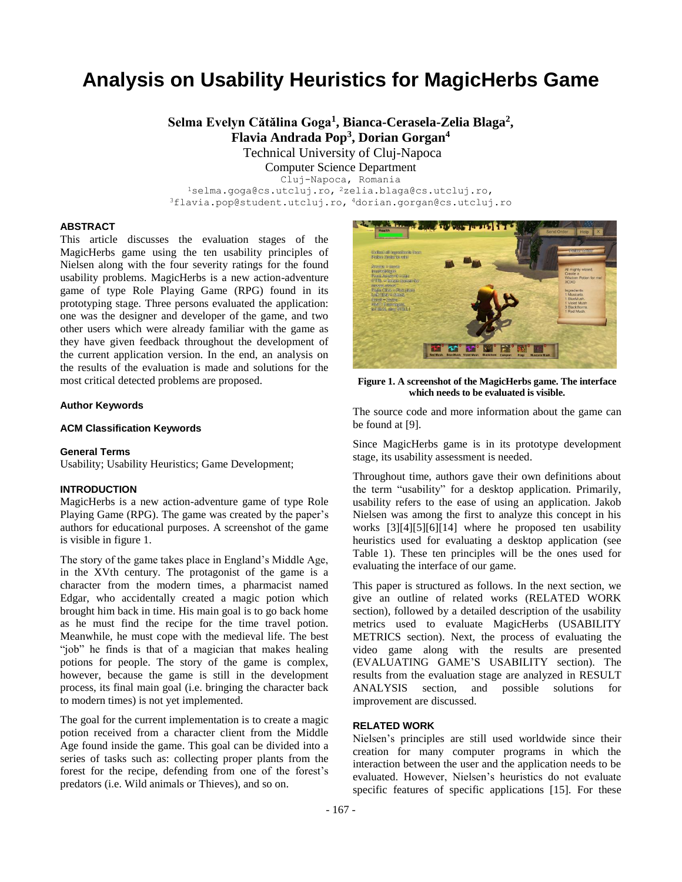# **Analysis on Usability Heuristics for MagicHerbs Game**

**Selma Evelyn Cătălina Goga<sup>1</sup> , Bianca-Cerasela-Zelia Blaga<sup>2</sup> , Flavia Andrada Pop<sup>3</sup> , Dorian Gorgan<sup>4</sup>**

Technical University of Cluj-Napoca

Computer Science Department

Cluj-Napoca, Romania <sup>1</sup>selma.goga@cs.utcluj.ro, <sup>2</sup>zelia.blaga@cs.utcluj.ro, <sup>3</sup>flavia.pop@student.utcluj.ro, <sup>4</sup>dorian.gorgan@cs.utcluj.ro

## **ABSTRACT**

This article discusses the evaluation stages of the MagicHerbs game using the ten usability principles of Nielsen along with the four severity ratings for the found usability problems. MagicHerbs is a new action-adventure game of type Role Playing Game (RPG) found in its prototyping stage. Three persons evaluated the application: one was the designer and developer of the game, and two other users which were already familiar with the game as they have given feedback throughout the development of the current application version. In the end, an analysis on the results of the evaluation is made and solutions for the most critical detected problems are proposed.

#### **Author Keywords**

## **ACM Classification Keywords**

#### **General Terms**

Usability; Usability Heuristics; Game Development;

## **INTRODUCTION**

MagicHerbs is a new action-adventure game of type Role Playing Game (RPG). The game was created by the paper's authors for educational purposes. A screenshot of the game is visible in figure 1.

The story of the game takes place in England's Middle Age, in the XVth century. The protagonist of the game is a character from the modern times, a pharmacist named Edgar, who accidentally created a magic potion which brought him back in time. His main goal is to go back home as he must find the recipe for the time travel potion. Meanwhile, he must cope with the medieval life. The best "job" he finds is that of a magician that makes healing potions for people. The story of the game is complex, however, because the game is still in the development process, its final main goal (i.e. bringing the character back to modern times) is not yet implemented.

The goal for the current implementation is to create a magic potion received from a character client from the Middle Age found inside the game. This goal can be divided into a series of tasks such as: collecting proper plants from the forest for the recipe, defending from one of the forest's predators (i.e. Wild animals or Thieves), and so on.



**Figure 1. A screenshot of the MagicHerbs game. The interface which needs to be evaluated is visible.**

The source code and more information about the game can be found at [9].

Since MagicHerbs game is in its prototype development stage, its usability assessment is needed.

Throughout time, authors gave their own definitions about the term "usability" for a desktop application. Primarily, usability refers to the ease of using an application. Jakob Nielsen was among the first to analyze this concept in his works [3][4][5][6][14] where he proposed ten usability heuristics used for evaluating a desktop application (see Table 1). These ten principles will be the ones used for evaluating the interface of our game.

This paper is structured as follows. In the next section, we give an outline of related works (RELATED WORK section), followed by a detailed description of the usability metrics used to evaluate MagicHerbs (USABILITY METRICS section). Next, the process of evaluating the video game along with the results are presented (EVALUATING GAME'S USABILITY section). The results from the evaluation stage are analyzed in RESULT ANALYSIS section, and possible solutions for improvement are discussed.

#### **RELATED WORK**

Nielsen's principles are still used worldwide since their creation for many computer programs in which the interaction between the user and the application needs to be evaluated. However, Nielsen's heuristics do not evaluate specific features of specific applications [15]. For these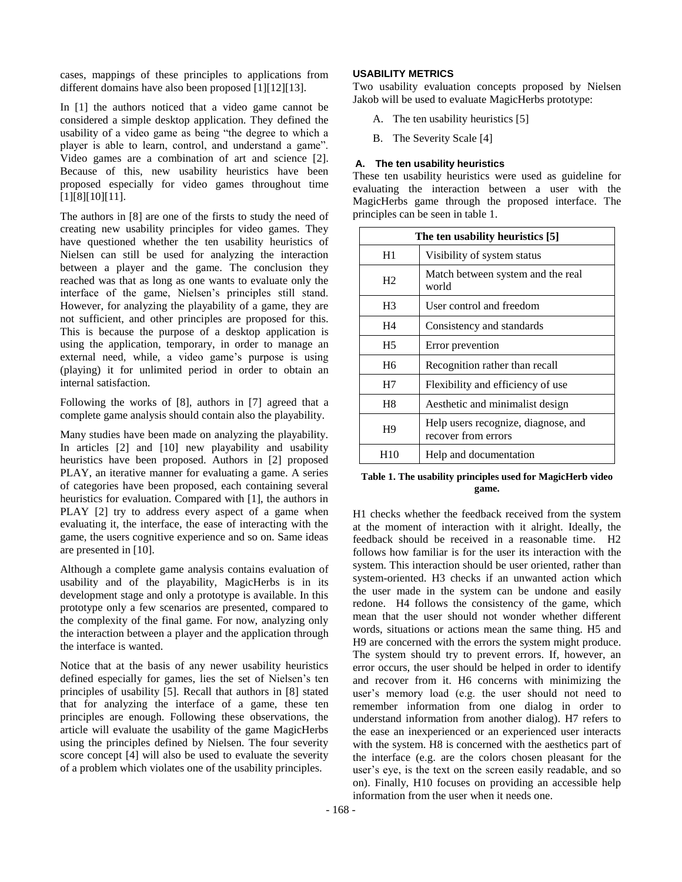cases, mappings of these principles to applications from different domains have also been proposed [1][12][13].

In [1] the authors noticed that a video game cannot be considered a simple desktop application. They defined the usability of a video game as being "the degree to which a player is able to learn, control, and understand a game". Video games are a combination of art and science [2]. Because of this, new usability heuristics have been proposed especially for video games throughout time [1][8][10][11].

The authors in [8] are one of the firsts to study the need of creating new usability principles for video games. They have questioned whether the ten usability heuristics of Nielsen can still be used for analyzing the interaction between a player and the game. The conclusion they reached was that as long as one wants to evaluate only the interface of the game, Nielsen's principles still stand. However, for analyzing the playability of a game, they are not sufficient, and other principles are proposed for this. This is because the purpose of a desktop application is using the application, temporary, in order to manage an external need, while, a video game's purpose is using (playing) it for unlimited period in order to obtain an internal satisfaction.

Following the works of [8], authors in [7] agreed that a complete game analysis should contain also the playability.

Many studies have been made on analyzing the playability. In articles [2] and [10] new playability and usability heuristics have been proposed. Authors in [2] proposed PLAY, an iterative manner for evaluating a game. A series of categories have been proposed, each containing several heuristics for evaluation. Compared with [1], the authors in PLAY [2] try to address every aspect of a game when evaluating it, the interface, the ease of interacting with the game, the users cognitive experience and so on. Same ideas are presented in [10].

Although a complete game analysis contains evaluation of usability and of the playability, MagicHerbs is in its development stage and only a prototype is available. In this prototype only a few scenarios are presented, compared to the complexity of the final game. For now, analyzing only the interaction between a player and the application through the interface is wanted.

Notice that at the basis of any newer usability heuristics defined especially for games, lies the set of Nielsen's ten principles of usability [5]. Recall that authors in [8] stated that for analyzing the interface of a game, these ten principles are enough. Following these observations, the article will evaluate the usability of the game MagicHerbs using the principles defined by Nielsen. The four severity score concept [4] will also be used to evaluate the severity of a problem which violates one of the usability principles.

## **USABILITY METRICS**

Two usability evaluation concepts proposed by Nielsen Jakob will be used to evaluate MagicHerbs prototype:

- A. The ten usability heuristics [5]
- B. The Severity Scale [4]

## **A. The ten usability heuristics**

These ten usability heuristics were used as guideline for evaluating the interaction between a user with the MagicHerbs game through the proposed interface. The principles can be seen in table 1.

| The ten usability heuristics [5] |                                                            |  |
|----------------------------------|------------------------------------------------------------|--|
| H1                               | Visibility of system status                                |  |
| H2                               | Match between system and the real<br>world                 |  |
| H <sub>3</sub>                   | User control and freedom                                   |  |
| H4                               | Consistency and standards                                  |  |
| H <sub>5</sub>                   | Error prevention                                           |  |
| H <sub>6</sub>                   | Recognition rather than recall                             |  |
| H7                               | Flexibility and efficiency of use                          |  |
| H <sub>8</sub>                   | Aesthetic and minimalist design                            |  |
| H <sub>9</sub>                   | Help users recognize, diagnose, and<br>recover from errors |  |
| H10                              | Help and documentation                                     |  |

## **Table 1. The usability principles used for MagicHerb video game.**

H1 checks whether the feedback received from the system at the moment of interaction with it alright. Ideally, the feedback should be received in a reasonable time. H2 follows how familiar is for the user its interaction with the system. This interaction should be user oriented, rather than system-oriented. H3 checks if an unwanted action which the user made in the system can be undone and easily redone. H4 follows the consistency of the game, which mean that the user should not wonder whether different words, situations or actions mean the same thing. H5 and H9 are concerned with the errors the system might produce. The system should try to prevent errors. If, however, an error occurs, the user should be helped in order to identify and recover from it. H6 concerns with minimizing the user's memory load (e.g. the user should not need to remember information from one dialog in order to understand information from another dialog). H7 refers to the ease an inexperienced or an experienced user interacts with the system. H8 is concerned with the aesthetics part of the interface (e.g. are the colors chosen pleasant for the user's eye, is the text on the screen easily readable, and so on). Finally, H10 focuses on providing an accessible help information from the user when it needs one.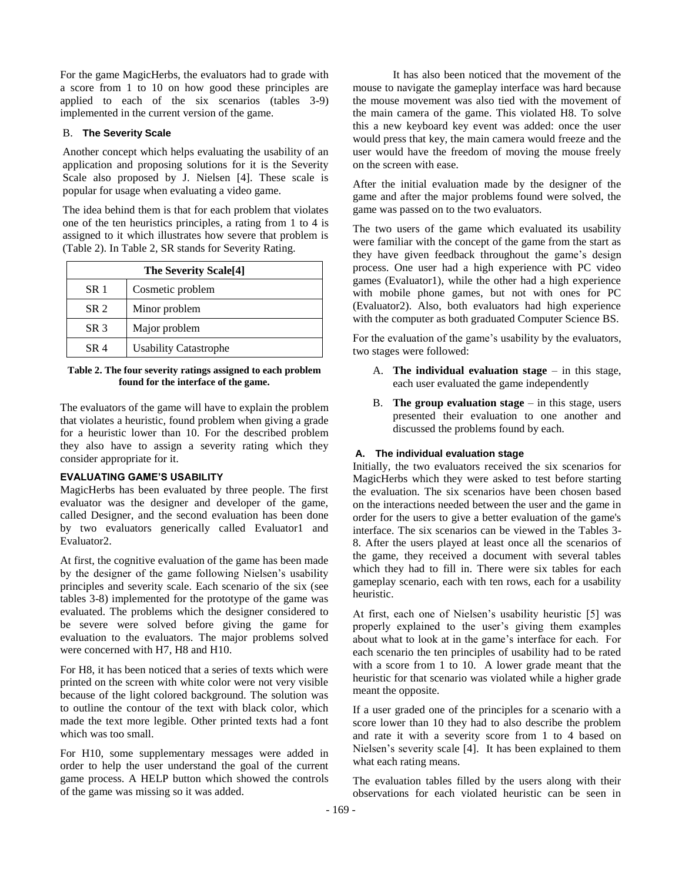For the game MagicHerbs, the evaluators had to grade with a score from 1 to 10 on how good these principles are applied to each of the six scenarios (tables 3-9) implemented in the current version of the game.

## B. **The Severity Scale**

Another concept which helps evaluating the usability of an application and proposing solutions for it is the Severity Scale also proposed by J. Nielsen [4]. These scale is popular for usage when evaluating a video game.

The idea behind them is that for each problem that violates one of the ten heuristics principles, a rating from 1 to 4 is assigned to it which illustrates how severe that problem is (Table 2). In Table 2, SR stands for Severity Rating.

| The Severity Scale <sup>[4]</sup> |                              |  |
|-----------------------------------|------------------------------|--|
| SR <sub>1</sub>                   | Cosmetic problem             |  |
| SR <sub>2</sub>                   | Minor problem                |  |
| SR <sub>3</sub>                   | Major problem                |  |
| SR 4                              | <b>Usability Catastrophe</b> |  |

## **Table 2. The four severity ratings assigned to each problem found for the interface of the game.**

The evaluators of the game will have to explain the problem that violates a heuristic, found problem when giving a grade for a heuristic lower than 10. For the described problem they also have to assign a severity rating which they consider appropriate for it.

## **EVALUATING GAME'S USABILITY**

MagicHerbs has been evaluated by three people. The first evaluator was the designer and developer of the game, called Designer, and the second evaluation has been done by two evaluators generically called Evaluator1 and Evaluator2.

At first, the cognitive evaluation of the game has been made by the designer of the game following Nielsen's usability principles and severity scale. Each scenario of the six (see tables 3-8) implemented for the prototype of the game was evaluated. The problems which the designer considered to be severe were solved before giving the game for evaluation to the evaluators. The major problems solved were concerned with H7, H8 and H10.

For H8, it has been noticed that a series of texts which were printed on the screen with white color were not very visible because of the light colored background. The solution was to outline the contour of the text with black color, which made the text more legible. Other printed texts had a font which was too small.

For H10, some supplementary messages were added in order to help the user understand the goal of the current game process. A HELP button which showed the controls of the game was missing so it was added.

It has also been noticed that the movement of the mouse to navigate the gameplay interface was hard because the mouse movement was also tied with the movement of the main camera of the game. This violated H8. To solve this a new keyboard key event was added: once the user would press that key, the main camera would freeze and the user would have the freedom of moving the mouse freely on the screen with ease.

After the initial evaluation made by the designer of the game and after the major problems found were solved, the game was passed on to the two evaluators.

The two users of the game which evaluated its usability were familiar with the concept of the game from the start as they have given feedback throughout the game's design process. One user had a high experience with PC video games (Evaluator1), while the other had a high experience with mobile phone games, but not with ones for PC (Evaluator2). Also, both evaluators had high experience with the computer as both graduated Computer Science BS.

For the evaluation of the game's usability by the evaluators, two stages were followed:

- A. **The individual evaluation stage** in this stage, each user evaluated the game independently
- B. **The group evaluation stage** in this stage, users presented their evaluation to one another and discussed the problems found by each.

## **A. The individual evaluation stage**

Initially, the two evaluators received the six scenarios for MagicHerbs which they were asked to test before starting the evaluation. The six scenarios have been chosen based on the interactions needed between the user and the game in order for the users to give a better evaluation of the game's interface. The six scenarios can be viewed in the Tables 3- 8. After the users played at least once all the scenarios of the game, they received a document with several tables which they had to fill in. There were six tables for each gameplay scenario, each with ten rows, each for a usability heuristic.

At first, each one of Nielsen's usability heuristic [5] was properly explained to the user's giving them examples about what to look at in the game's interface for each. For each scenario the ten principles of usability had to be rated with a score from 1 to 10. A lower grade meant that the heuristic for that scenario was violated while a higher grade meant the opposite.

If a user graded one of the principles for a scenario with a score lower than 10 they had to also describe the problem and rate it with a severity score from 1 to 4 based on Nielsen's severity scale [4]. It has been explained to them what each rating means.

The evaluation tables filled by the users along with their observations for each violated heuristic can be seen in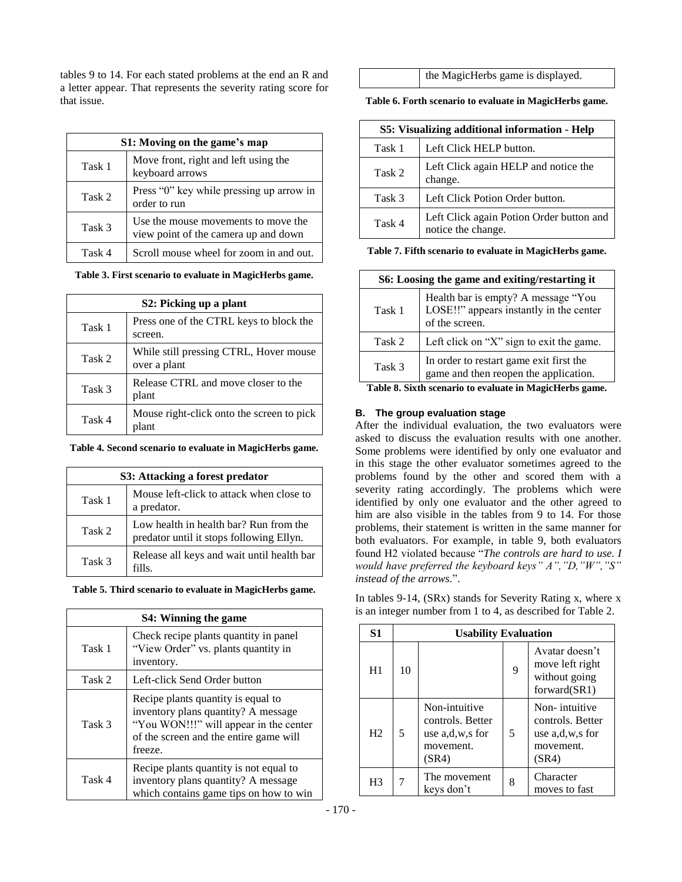tables 9 to 14. For each stated problems at the end an R and a letter appear. That represents the severity rating score for that issue.

| S1: Moving on the game's map                                      |                                                                             |  |
|-------------------------------------------------------------------|-----------------------------------------------------------------------------|--|
| Move front, right and left using the<br>Task 1<br>keyboard arrows |                                                                             |  |
| Task 2                                                            | Press "0" key while pressing up arrow in<br>order to run                    |  |
| Task 3                                                            | Use the mouse movements to move the<br>view point of the camera up and down |  |
| Task 4                                                            | Scroll mouse wheel for zoom in and out.                                     |  |

**Table 3. First scenario to evaluate in MagicHerbs game.**

| S2: Picking up a plant |                                                        |  |  |
|------------------------|--------------------------------------------------------|--|--|
| Task 1                 | Press one of the CTRL keys to block the<br>screen.     |  |  |
| Task 2                 | While still pressing CTRL, Hover mouse<br>over a plant |  |  |
| Task 3                 | Release CTRL and move closer to the<br>plant           |  |  |
| Task 4                 | Mouse right-click onto the screen to pick<br>nlant     |  |  |

**Table 4. Second scenario to evaluate in MagicHerbs game.**

| S3: Attacking a forest predator                                   |                                                                                    |  |  |
|-------------------------------------------------------------------|------------------------------------------------------------------------------------|--|--|
| Mouse left-click to attack when close to<br>Task 1<br>a predator. |                                                                                    |  |  |
| Task 2                                                            | Low health in health bar? Run from the<br>predator until it stops following Ellyn. |  |  |
| Task 3                                                            | Release all keys and wait until health bar<br>fille.                               |  |  |

**Table 5. Third scenario to evaluate in MagicHerbs game.**

|        | S4: Winning the game                                                                                                                                                     |  |  |  |
|--------|--------------------------------------------------------------------------------------------------------------------------------------------------------------------------|--|--|--|
| Task 1 | Check recipe plants quantity in panel<br>"View Order" vs. plants quantity in<br>inventory.                                                                               |  |  |  |
| Task 2 | Left-click Send Order button                                                                                                                                             |  |  |  |
| Task 3 | Recipe plants quantity is equal to<br>inventory plans quantity? A message<br>"You WON!!!" will appear in the center<br>of the screen and the entire game will<br>freeze. |  |  |  |
| Task 4 | Recipe plants quantity is not equal to<br>inventory plans quantity? A message<br>which contains game tips on how to win                                                  |  |  |  |

the MagicHerbs game is displayed.

**Table 6. Forth scenario to evaluate in MagicHerbs game.**

| S5: Visualizing additional information - Help |                                                                |  |
|-----------------------------------------------|----------------------------------------------------------------|--|
| Task 1                                        | Left Click HELP button.                                        |  |
| Task 2                                        | Left Click again HELP and notice the<br>change.                |  |
| Task 3                                        | Left Click Potion Order button.                                |  |
| Task 4                                        | Left Click again Potion Order button and<br>notice the change. |  |

**Table 7. Fifth scenario to evaluate in MagicHerbs game.**

| S6: Loosing the game and exiting/restarting it |                                                                                                  |  |
|------------------------------------------------|--------------------------------------------------------------------------------------------------|--|
| Task 1                                         | Health bar is empty? A message "You<br>LOSE!!" appears instantly in the center<br>of the screen. |  |
| Task 2                                         | Left click on " $X$ " sign to exit the game.                                                     |  |
| Task 3                                         | In order to restart game exit first the<br>game and then reopen the application.                 |  |

**Table 8. Sixth scenario to evaluate in MagicHerbs game.**

# **B. The group evaluation stage**

After the individual evaluation, the two evaluators were asked to discuss the evaluation results with one another. Some problems were identified by only one evaluator and in this stage the other evaluator sometimes agreed to the problems found by the other and scored them with a severity rating accordingly. The problems which were identified by only one evaluator and the other agreed to him are also visible in the tables from 9 to 14. For those problems, their statement is written in the same manner for both evaluators. For example, in table 9, both evaluators found H2 violated because "*The controls are hard to use. I would have preferred the keyboard keys" A","D,"W","S" instead of the arrows.*".

In tables 9-14, (SRx) stands for Severity Rating x, where x is an integer number from 1 to 4, as described for Table 2.

| S <sub>1</sub> | <b>Usability Evaluation</b> |                                                                            |   |                                                                            |
|----------------|-----------------------------|----------------------------------------------------------------------------|---|----------------------------------------------------------------------------|
| H1             | 10                          |                                                                            | 9 | Avatar doesn't<br>move left right<br>without going<br>forward(SR1)         |
| H <sub>2</sub> | 5                           | Non-intuitive<br>controls. Better<br>use a,d,w,s for<br>movement.<br>(SR4) | 5 | Non-intuitive<br>controls. Better<br>use a,d,w,s for<br>movement.<br>(SR4) |
| H3             |                             | The movement<br>kevs don't                                                 | 8 | Character<br>moves to fast                                                 |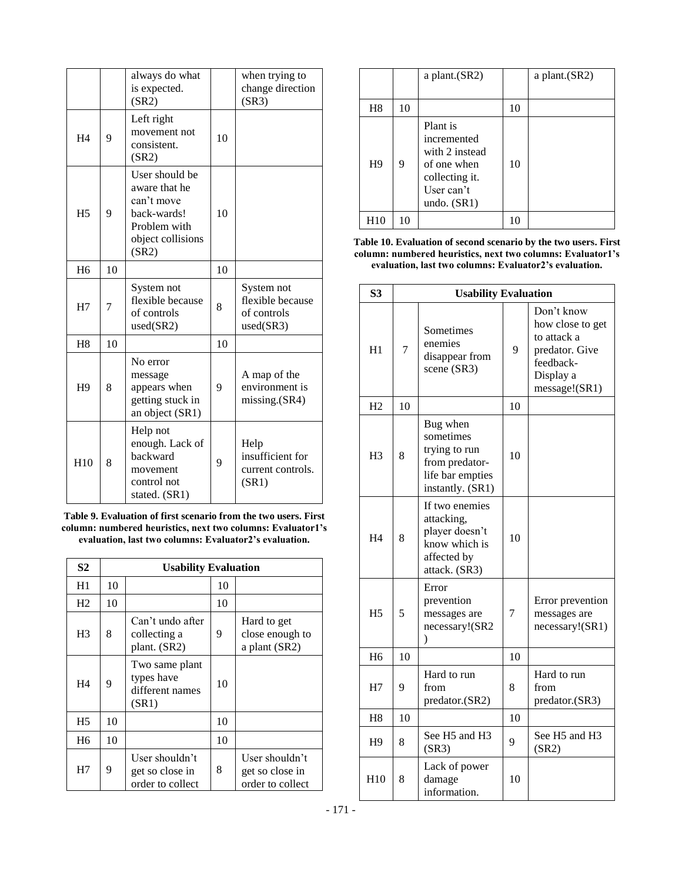|                 |    | always do what<br>is expected.<br>(SR2)                                                                    |    | when trying to<br>change direction<br>(SR3)                |
|-----------------|----|------------------------------------------------------------------------------------------------------------|----|------------------------------------------------------------|
| H <sub>4</sub>  | 9  | Left right<br>movement not<br>consistent.<br>(SR2)                                                         | 10 |                                                            |
| H <sub>5</sub>  | 9  | User should be<br>aware that he<br>can't move<br>back-wards!<br>Problem with<br>object collisions<br>(SR2) | 10 |                                                            |
| H <sub>6</sub>  | 10 |                                                                                                            | 10 |                                                            |
| H7              | 7  | System not<br>flexible because<br>of controls<br>used(SR2)                                                 | 8  | System not<br>flexible because<br>of controls<br>used(SR3) |
| H <sub>8</sub>  | 10 |                                                                                                            | 10 |                                                            |
| H <sub>9</sub>  | 8  | No error<br>message<br>appears when<br>getting stuck in<br>an object (SR1)                                 | 9  | A map of the<br>environment is<br>missing.(SR4)            |
| H <sub>10</sub> | 8  | Help not<br>enough. Lack of<br>backward<br>movement<br>control not<br>stated. (SR1)                        | 9  | Help<br>insufficient for<br>current controls.<br>(SR1)     |

**Table 9. Evaluation of first scenario from the two users. First column: numbered heuristics, next two columns: Evaluator1's evaluation, last two columns: Evaluator2's evaluation.**

| S <sub>2</sub> | <b>Usability Evaluation</b> |                                                          |    |                                                       |
|----------------|-----------------------------|----------------------------------------------------------|----|-------------------------------------------------------|
| H1             | 10                          |                                                          | 10 |                                                       |
| H <sub>2</sub> | 10                          |                                                          | 10 |                                                       |
| H <sub>3</sub> | 8                           | Can't undo after<br>collecting a<br>plant. (SR2)         | 9  | Hard to get<br>close enough to<br>a plant (SR2)       |
| H4             | 9                           | Two same plant<br>types have<br>different names<br>(SR1) | 10 |                                                       |
| H <sub>5</sub> | 10                          |                                                          | 10 |                                                       |
| H <sub>6</sub> | 10                          |                                                          | 10 |                                                       |
| H7             | 9                           | User shouldn't<br>get so close in<br>order to collect    | 8  | User shouldn't<br>get so close in<br>order to collect |

|                |    | a plant.(SR2)                                                                                             |    | a plant.(SR2) |
|----------------|----|-----------------------------------------------------------------------------------------------------------|----|---------------|
| H <sub>8</sub> | 10 |                                                                                                           | 10 |               |
| H <sup>9</sup> | 9  | Plant is<br>incremented<br>with 2 instead<br>of one when<br>collecting it.<br>User can't<br>undo. $(SR1)$ | 10 |               |
| H10            | 10 |                                                                                                           | 10 |               |

**Table 10. Evaluation of second scenario by the two users. First column: numbered heuristics, next two columns: Evaluator1's evaluation, last two columns: Evaluator2's evaluation.**

| S <sub>3</sub>  | <b>Usability Evaluation</b> |                                                                                                  |    |                                                                                                            |
|-----------------|-----------------------------|--------------------------------------------------------------------------------------------------|----|------------------------------------------------------------------------------------------------------------|
| H1              | $\overline{7}$              | Sometimes<br>enemies<br>disappear from<br>scene (SR3)                                            | 9  | Don't know<br>how close to get<br>to attack a<br>predator. Give<br>feedback-<br>Display a<br>message!(SR1) |
| H <sub>2</sub>  | 10                          |                                                                                                  | 10 |                                                                                                            |
| H <sub>3</sub>  | 8                           | Bug when<br>sometimes<br>trying to run<br>from predator-<br>life bar empties<br>instantly. (SR1) | 10 |                                                                                                            |
| H <sub>4</sub>  | 8                           | If two enemies<br>attacking,<br>player doesn't<br>know which is<br>affected by<br>attack. (SR3)  | 10 |                                                                                                            |
| H <sub>5</sub>  | 5                           | Error<br>prevention<br>messages are<br>necessary!(SR2<br>⟩                                       | 7  | Error prevention<br>messages are<br>necessary!(SR1)                                                        |
| H <sub>6</sub>  | 10                          |                                                                                                  | 10 |                                                                                                            |
| H7              | 9                           | Hard to run<br>from<br>predator.(SR2)                                                            | 8  | Hard to run<br>from<br>predator.(SR3)                                                                      |
| H <sub>8</sub>  | 10                          |                                                                                                  | 10 |                                                                                                            |
| H <sub>9</sub>  | 8                           | See H5 and H3<br>(SR3)                                                                           | 9  | See H5 and H3<br>(SR2)                                                                                     |
| H <sub>10</sub> | 8                           | Lack of power<br>damage<br>information.                                                          | 10 |                                                                                                            |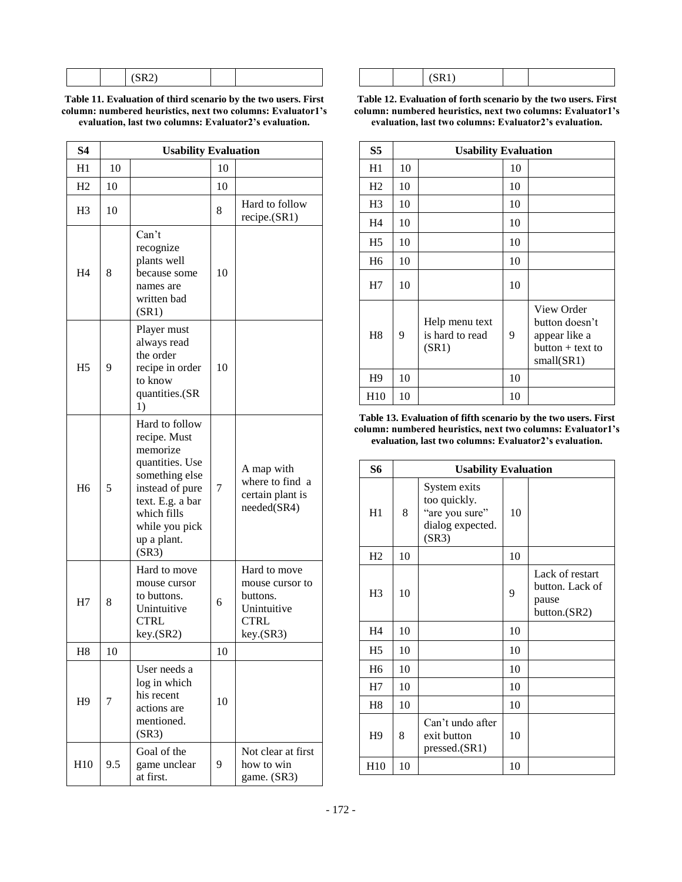| .<br>. |  |  |
|--------|--|--|
|--------|--|--|

**Table 11. Evaluation of third scenario by the two users. First column: numbered heuristics, next two columns: Evaluator1's evaluation, last two columns: Evaluator2's evaluation.**

| <b>S4</b>      | <b>Usability Evaluation</b> |                                                                                                                                                                                 |    |                                                                                        |  |
|----------------|-----------------------------|---------------------------------------------------------------------------------------------------------------------------------------------------------------------------------|----|----------------------------------------------------------------------------------------|--|
| H1             | 10                          |                                                                                                                                                                                 | 10 |                                                                                        |  |
| H <sub>2</sub> | 10                          |                                                                                                                                                                                 | 10 |                                                                                        |  |
| H <sub>3</sub> | 10                          |                                                                                                                                                                                 | 8  | Hard to follow<br>recipe.(SR1)                                                         |  |
| H4             | 8                           | Can't<br>recognize<br>plants well<br>because some<br>names are<br>written bad<br>(SR1)                                                                                          | 10 |                                                                                        |  |
| H <sub>5</sub> | 9                           | Player must<br>always read<br>the order<br>recipe in order<br>to know<br>quantities.(SR<br>1)                                                                                   | 10 |                                                                                        |  |
| H <sub>6</sub> | 5                           | Hard to follow<br>recipe. Must<br>memorize<br>quantities. Use<br>something else<br>instead of pure<br>text. E.g. a bar<br>which fills<br>while you pick<br>up a plant.<br>(SR3) | 7  | A map with<br>where to find a<br>certain plant is<br>needed(SR4)                       |  |
| H7             | 8                           | Hard to move<br>mouse cursor<br>to buttons.<br>Unintuitive<br><b>CTRL</b><br>key.(SR2)                                                                                          | 6  | Hard to move<br>mouse cursor to<br>buttons.<br>Unintuitive<br><b>CTRL</b><br>key.(SR3) |  |
| H <sub>8</sub> | 10                          |                                                                                                                                                                                 | 10 |                                                                                        |  |
| H <sub>9</sub> | 7                           | User needs a<br>log in which<br>his recent<br>actions are<br>mentioned.<br>(SR3)                                                                                                | 10 |                                                                                        |  |
| H10            | 9.5                         | Goal of the<br>game unclear<br>at first.                                                                                                                                        | 9  | Not clear at first<br>how to win<br>game. (SR3)                                        |  |

|--|--|--|--|--|--|

**Table 12. Evaluation of forth scenario by the two users. First column: numbered heuristics, next two columns: Evaluator1's evaluation, last two columns: Evaluator2's evaluation.**

| S <sub>5</sub>  | <b>Usability Evaluation</b> |                                            |    |                                                                                 |  |
|-----------------|-----------------------------|--------------------------------------------|----|---------------------------------------------------------------------------------|--|
| H1              | 10                          |                                            | 10 |                                                                                 |  |
| H2              | 10                          |                                            | 10 |                                                                                 |  |
| H <sub>3</sub>  | 10                          |                                            | 10 |                                                                                 |  |
| H4              | 10                          |                                            | 10 |                                                                                 |  |
| H <sub>5</sub>  | 10                          |                                            | 10 |                                                                                 |  |
| H <sub>6</sub>  | 10                          |                                            | 10 |                                                                                 |  |
| H7              | 10                          |                                            | 10 |                                                                                 |  |
| H <sub>8</sub>  | 9                           | Help menu text<br>is hard to read<br>(SR1) | 9  | View Order<br>button doesn't<br>appear like a<br>button + text to<br>small(SR1) |  |
| H <sub>9</sub>  | 10                          |                                            | 10 |                                                                                 |  |
| H <sub>10</sub> | 10                          |                                            | 10 |                                                                                 |  |

**Table 13. Evaluation of fifth scenario by the two users. First column: numbered heuristics, next two columns: Evaluator1's evaluation, last two columns: Evaluator2's evaluation.**

| S6              | <b>Usability Evaluation</b> |                                                                             |    |                                                             |
|-----------------|-----------------------------|-----------------------------------------------------------------------------|----|-------------------------------------------------------------|
| H1              | 8                           | System exits<br>too quickly.<br>"are you sure"<br>dialog expected.<br>(SR3) | 10 |                                                             |
| H2              | 10                          |                                                                             | 10 |                                                             |
| H <sub>3</sub>  | 10                          |                                                                             | 9  | Lack of restart<br>button. Lack of<br>pause<br>button.(SR2) |
| H4              | 10                          |                                                                             | 10 |                                                             |
| H <sub>5</sub>  | 10                          |                                                                             | 10 |                                                             |
| H <sub>6</sub>  | 10                          |                                                                             | 10 |                                                             |
| H7              | 10                          |                                                                             | 10 |                                                             |
| H <sup>8</sup>  | 10                          |                                                                             | 10 |                                                             |
| H <sub>9</sub>  | 8                           | Can't undo after<br>exit button<br>pressed.(SR1)                            | 10 |                                                             |
| H <sub>10</sub> | 10                          |                                                                             | 10 |                                                             |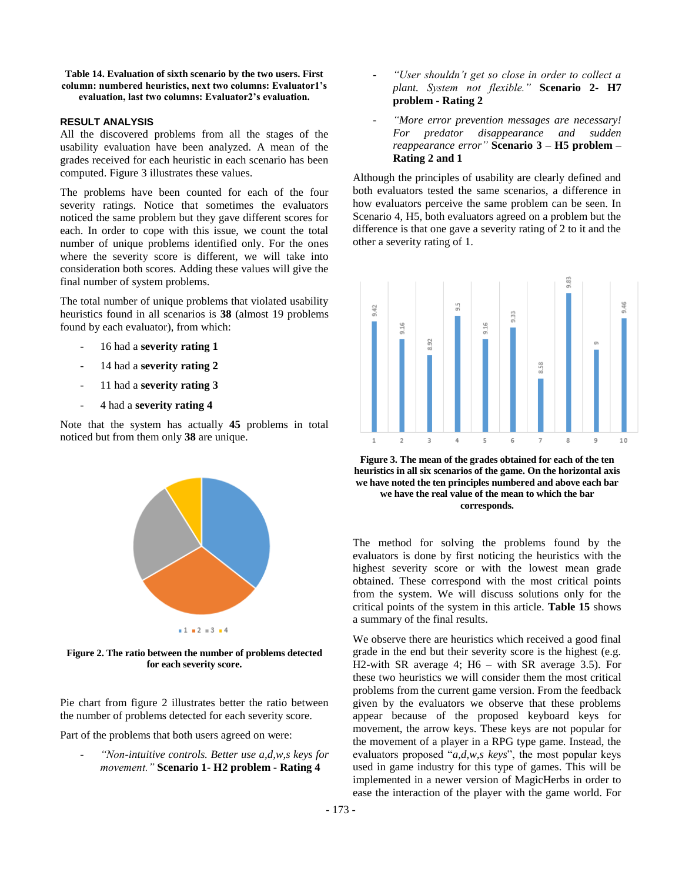#### **Table 14. Evaluation of sixth scenario by the two users. First column: numbered heuristics, next two columns: Evaluator1's evaluation, last two columns: Evaluator2's evaluation.**

## **RESULT ANALYSIS**

All the discovered problems from all the stages of the usability evaluation have been analyzed. A mean of the grades received for each heuristic in each scenario has been computed. Figure 3 illustrates these values.

The problems have been counted for each of the four severity ratings. Notice that sometimes the evaluators noticed the same problem but they gave different scores for each. In order to cope with this issue, we count the total number of unique problems identified only. For the ones where the severity score is different, we will take into consideration both scores. Adding these values will give the final number of system problems.

The total number of unique problems that violated usability heuristics found in all scenarios is **38** (almost 19 problems found by each evaluator), from which:

- 16 had a **severity rating 1**
- 14 had a **severity rating 2**
- 11 had a **severity rating 3**
- 4 had a **severity rating 4**

Note that the system has actually **45** problems in total noticed but from them only **38** are unique.



**Figure 2. The ratio between the number of problems detected for each severity score.**

Pie chart from figure 2 illustrates better the ratio between the number of problems detected for each severity score.

Part of the problems that both users agreed on were:

- *"Non-intuitive controls. Better use a,d,w,s keys for movement."* **Scenario 1- H2 problem - Rating 4**

- "User shouldn't get so close in order to collect a *plant. System not flexible."* **Scenario 2- H7 problem - Rating 2**
- *"More error prevention messages are necessary! For predator disappearance and sudden reappearance error"* **Scenario 3 – H5 problem – Rating 2 and 1**

Although the principles of usability are clearly defined and both evaluators tested the same scenarios, a difference in how evaluators perceive the same problem can be seen. In Scenario 4, H5, both evaluators agreed on a problem but the difference is that one gave a severity rating of 2 to it and the other a severity rating of 1.



**Figure 3. The mean of the grades obtained for each of the ten heuristics in all six scenarios of the game. On the horizontal axis we have noted the ten principles numbered and above each bar we have the real value of the mean to which the bar corresponds.**

The method for solving the problems found by the evaluators is done by first noticing the heuristics with the highest severity score or with the lowest mean grade obtained. These correspond with the most critical points from the system. We will discuss solutions only for the critical points of the system in this article. **Table 15** shows a summary of the final results.

We observe there are heuristics which received a good final grade in the end but their severity score is the highest (e.g. H2-with SR average 4; H6 – with SR average 3.5). For these two heuristics we will consider them the most critical problems from the current game version. From the feedback given by the evaluators we observe that these problems appear because of the proposed keyboard keys for movement, the arrow keys. These keys are not popular for the movement of a player in a RPG type game. Instead, the evaluators proposed "*a,d,w,s keys*", the most popular keys used in game industry for this type of games. This will be implemented in a newer version of MagicHerbs in order to ease the interaction of the player with the game world. For